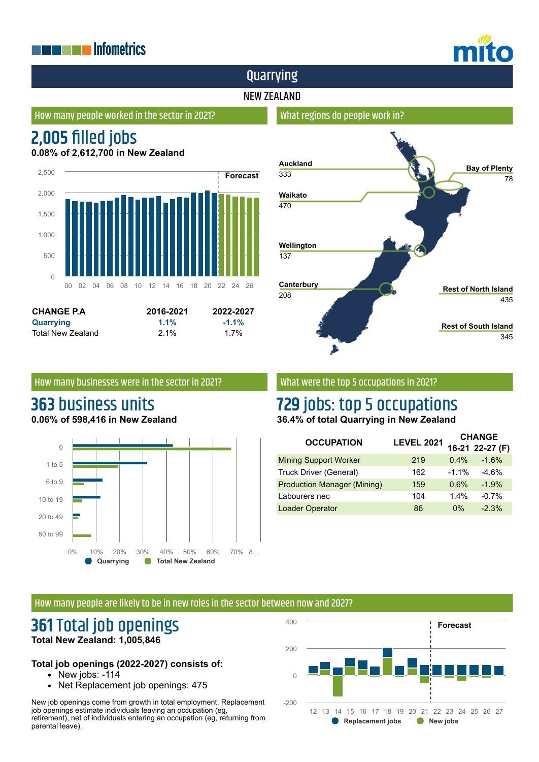## **THE EXPLASHIP Informatrics**



## Quarrying

### NEW ZEALAND

### How many people worked in the sector in 2021?

# **2,005 filled jobs**

**0.08% of 2,612,700 in New Zealand**





### How many businesses were in the sector in 2021?

Total New Zealand 2.1% 1.7%

### **363** business units **0.06% of 598,416 in New Zealand**



### What were the top 5 occupations in 2021?

# **729** jobs: top 5 occupations

**36.4% of total Quarrying in New Zealand**

| <b>OCCUPATION</b>                  | <b>LEVEL 2021</b> | <b>CHANGE</b> |                 |
|------------------------------------|-------------------|---------------|-----------------|
|                                    |                   |               | 16-21 22-27 (F) |
| <b>Mining Support Worker</b>       | 219               | $0.4\%$       | $-1.6%$         |
| Truck Driver (General)             | 162               | $-1.1\%$      | $-4.6%$         |
| <b>Production Manager (Mining)</b> | 159               | 0.6%          | $-1.9%$         |
| Labourers nec                      | 104               | 1.4%          | $-0.7%$         |
| <b>Loader Operator</b>             | 86                | $0\%$         | $-2.3%$         |

#### How many people are likely to be in new roles in the sector between now and 2027?

### **361** Total job openings **Total New Zealand: 1,005,846**

### **Total job openings (2022-2027) consists of:**

- New jobs: -114
- Net Replacement job openings: 475

New job openings come from growth in total employment. Replacement job openings estimate individuals leaving an occupation (eg, retirement), net of individuals entering an occupation (eg, returning from parental leave).